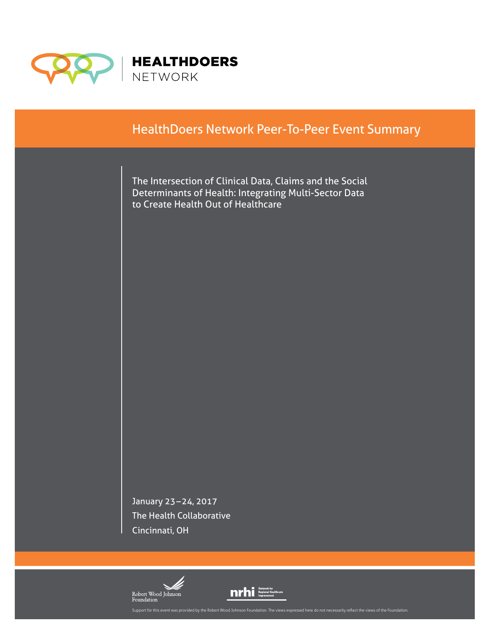

# HealthDoers Network Peer-To-Peer Event Summary

The Intersection of Clinical Data, Claims and the Social Determinants of Health: Integrating Multi-Sector Data to Create Health Out of Healthcare

January 23–24, 2017 The Health Collaborative Cincinnati, OH



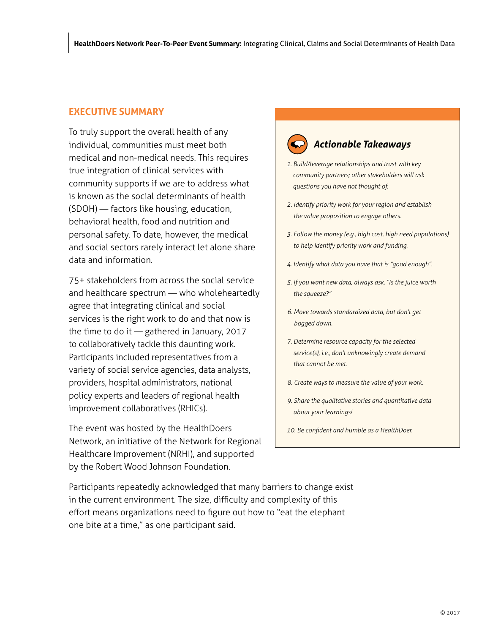# <span id="page-1-0"></span>**EXECUTIVE SUMMARY**

To truly support the overall health of any individual, communities must meet both medical and non-medical needs. This requires true integration of clinical services with community supports if we are to address what is known as the social determinants of health (SDOH) — factors like housing, education, behavioral health, food and nutrition and personal safety. To date, however, the medical and social sectors rarely interact let alone share data and information.

75+ stakeholders from across the social service and healthcare spectrum — who wholeheartedly agree that integrating clinical and social services is the right work to do and that now is the time to do it — gathered in January, 2017 to collaboratively tackle this daunting work. Participants included representatives from a variety of social service agencies, data analysts, providers, hospital administrators, national policy experts and leaders of regional health improvement collaboratives (RHICs).

The event was hosted by the HealthDoers Network, an initiative of the Network for Regional Healthcare Improvement (NRHI), and supported by the Robert Wood Johnson Foundation.

# *Actionable Takeaways*

- *1. Build/leverage relationships and trust with key community partners; other stakeholders will ask questions you have not thought of.*
- *2. Identify priority work for your region and establish the value proposition to engage others.*
- *3. Follow the money (e.g., high cost, high need populations) to help identify priority work and funding.*
- *4. Identify what data you have that is "good enough".*
- *5. If you want new data, always ask, "Is the juice worth the squeeze?"*
- *6. Move towards standardized data, but don't get bogged down.*
- *7. Determine resource capacity for the selected service(s), i.e., don't unknowingly create demand that cannot be met.*
- *8. Create ways to measure the value of your work.*
- *9. Share the qualitative stories and quantitative data about your learnings!*
- *10. Be confident and humble as a HealthDoer.*

Participants repeatedly acknowledged that many barriers to change exist in the current environment. The size, difficulty and complexity of this effort means organizations need to figure out how to "eat the elephant one bite at a time," as one participant said.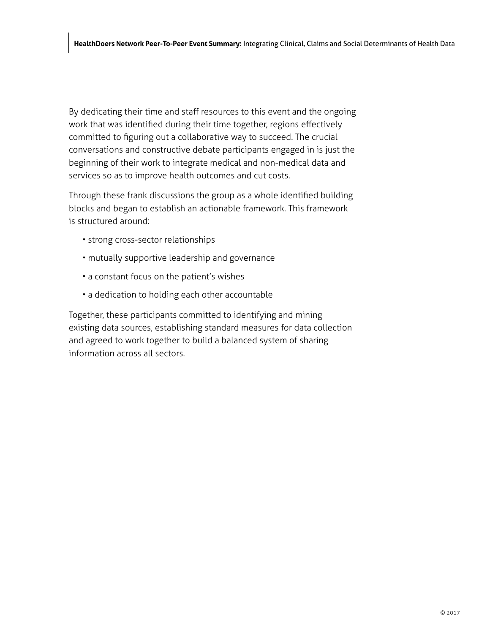By dedicating their time and staff resources to this event and the ongoing work that was identified during their time together, regions effectively committed to figuring out a collaborative way to succeed. The crucial conversations and constructive debate participants engaged in is just the beginning of their work to integrate medical and non-medical data and services so as to improve health outcomes and cut costs.

Through these frank discussions the group as a whole identified building blocks and began to establish an actionable framework. This framework is structured around:

- strong cross-sector relationships
- mutually supportive leadership and governance
- a constant focus on the patient's wishes
- a dedication to holding each other accountable

Together, these participants committed to identifying and mining existing data sources, establishing standard measures for data collection and agreed to work together to build a balanced system of sharing information across all sectors.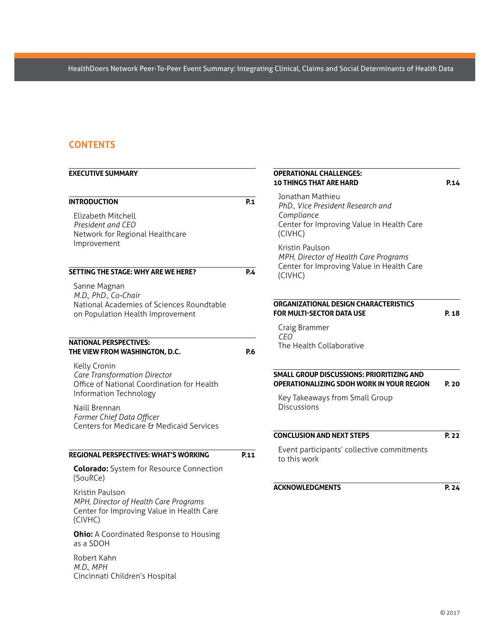# **CONTENTS**

| <b>EXECUTIVE SUMMARY</b>                                                                                              |            | <b>OPERATIONAL CHALLENGES:</b><br><b>10 THINGS THAT ARE HARD</b>                                                                                                                                                                                | P.14  |
|-----------------------------------------------------------------------------------------------------------------------|------------|-------------------------------------------------------------------------------------------------------------------------------------------------------------------------------------------------------------------------------------------------|-------|
| <b>INTRODUCTION</b><br>Elizabeth Mitchell<br>President and CEO<br>Network for Regional Healthcare<br>Improvement      | P.1        | Jonathan Mathieu<br>PhD., Vice President Research and<br>Compliance<br>Center for Improving Value in Health Care<br>(CIVHC)<br>Kristin Paulson<br>MPH, Director of Health Care Programs<br>Center for Improving Value in Health Care<br>(CIVHC) |       |
| SETTING THE STAGE: WHY ARE WE HERE?                                                                                   | <b>P.4</b> |                                                                                                                                                                                                                                                 |       |
| Sanne Magnan<br>M.D., PhD., Co-Chair<br>National Academies of Sciences Roundtable<br>on Population Health Improvement |            | ORGANIZATIONAL DESIGN CHARACTERISTICS<br><b>FOR MULTI-SECTOR DATA USE</b><br>Craig Brammer                                                                                                                                                      | P. 18 |
| <b>NATIONAL PERSPECTIVES:</b><br>THE VIEW FROM WASHINGTON, D.C.                                                       | P.6        | <b>CEO</b><br>The Health Collaborative                                                                                                                                                                                                          |       |
| Kelly Cronin<br>Care Transformation Director<br>Office of National Coordination for Health<br>Information Technology  |            | SMALL GROUP DISCUSSIONS: PRIORITIZING AND<br><b>OPERATIONALIZING SDOH WORK IN YOUR REGION</b><br>Key Takeaways from Small Group<br>Discussions                                                                                                  | P. 20 |
| Naill Brennan<br>Former Chief Data Officer<br>Centers for Medicare & Medicaid Services                                |            |                                                                                                                                                                                                                                                 |       |
|                                                                                                                       |            | <b>CONCLUSION AND NEXT STEPS</b>                                                                                                                                                                                                                | P. 22 |
| <b>REGIONAL PERSPECTIVES: WHAT'S WORKING</b>                                                                          | P.11       | Event participants' collective commitments<br>to this work                                                                                                                                                                                      |       |
| <b>Colorado:</b> System for Resource Connection<br>(SouRCe)                                                           |            |                                                                                                                                                                                                                                                 |       |
| Kristin Paulson<br>MPH, Director of Health Care Programs<br>Center for Improving Value in Health Care<br>(CIVHC)      |            | <b>ACKNOWLEDGMENTS</b>                                                                                                                                                                                                                          | P. 24 |
| <b>Ohio:</b> A Coordinated Response to Housing<br>as a SDOH                                                           |            |                                                                                                                                                                                                                                                 |       |
| Robert Kahn<br>M.D., MPH<br>Cincinnati Children's Hospital                                                            |            |                                                                                                                                                                                                                                                 |       |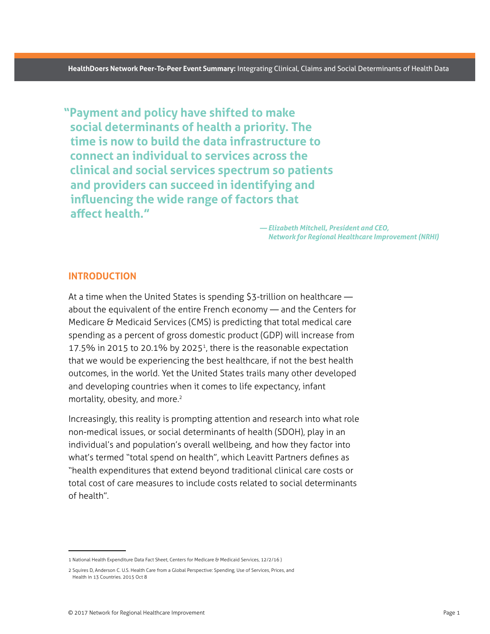<span id="page-4-0"></span>**"Payment and policy have shifted to make social determinants of health a priority. The time is now to build the data infrastructure to connect an individual to services across the clinical and social services spectrum so patients and providers can succeed in identifying and influencing the wide range of factors that affect health."**

> *— Elizabeth Mitchell, President and CEO, Network for Regional Healthcare Improvement (NRHI)*

# **INTRODUCTION**

At a time when the United States is spending \$3-trillion on healthcare about the equivalent of the entire French economy — and the Centers for Medicare & Medicaid Services (CMS) is predicting that total medical care spending as a percent of gross domestic product (GDP) will increase from 17.5% in 2015 to 20.1% by 2025<sup>1</sup>, there is the reasonable expectation that we would be experiencing the best healthcare, if not the best health outcomes, in the world. Yet the United States trails many other developed and developing countries when it comes to life expectancy, infant mortality, obesity, and more.<sup>2</sup>

Increasingly, this reality is prompting attention and research into what role non-medical issues, or social determinants of health (SDOH), play in an individual's and population's overall wellbeing, and how they factor into what's termed "total spend on health", which Leavitt Partners defines as "health expenditures that extend beyond traditional clinical care costs or total cost of care measures to include costs related to social determinants of health".

<sup>1</sup> National Health Expenditure Data Fact Sheet, Centers for Medicare & Medicaid Services, 12/2/16)

<sup>2</sup> Squires D, Anderson C. U.S. Health Care from a Global Perspective: Spending, Use of Services, Prices, and Health in 13 Countries. 2015 Oct 8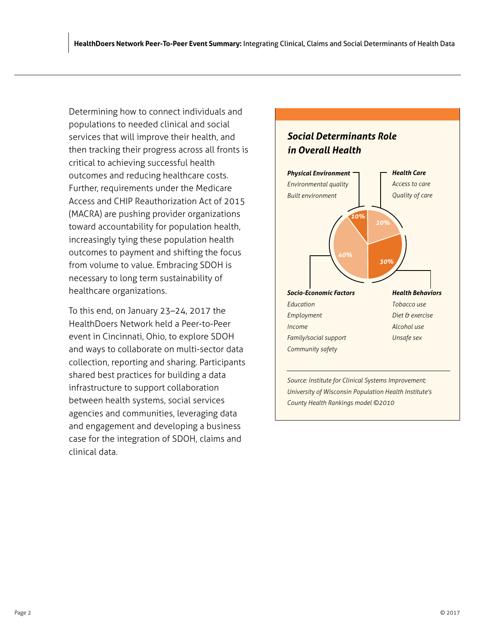Determining how to connect individuals and populations to needed clinical and social services that will improve their health, and then tracking their progress across all fronts is critical to achieving successful health outcomes and reducing healthcare costs. Further, requirements under the Medicare Access and CHIP Reauthorization Act of 2015 (MACRA) are pushing provider organizations toward accountability for population health, increasingly tying these population health outcomes to payment and shifting the focus from volume to value. Embracing SDOH is necessary to long term sustainability of healthcare organizations.

To this end, on January 23–24, 2017 the HealthDoers Network held a Peer-to-Peer event in Cincinnati, Ohio, to explore SDOH and ways to collaborate on multi-sector data collection, reporting and sharing. Participants shared best practices for building a data infrastructure to support collaboration between health systems, social services agencies and communities, leveraging data and engagement and developing a business case for the integration of SDOH, claims and clinical data.

# *Social Determinants Role in Overall Health*



*Source: Institute for Clinical Systems Improvement; University of Wisconsin Population Health Institute's County Health Rankings model ©2010*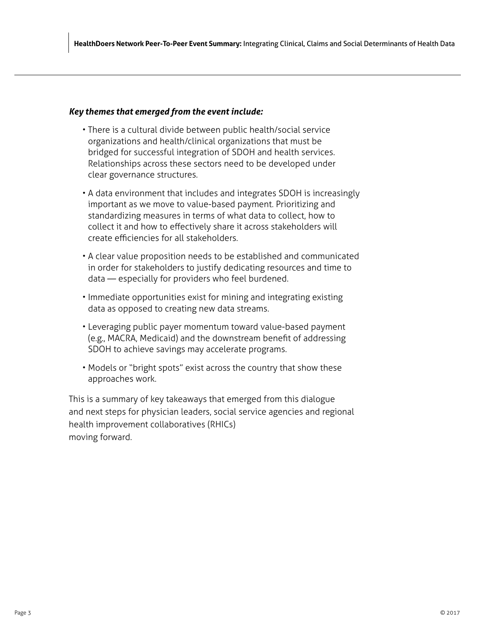# *Key themes that emerged from the event include:*

- There is a cultural divide between public health/social service organizations and health/clinical organizations that must be bridged for successful integration of SDOH and health services. Relationships across these sectors need to be developed under clear governance structures.
- A data environment that includes and integrates SDOH is increasingly important as we move to value-based payment. Prioritizing and standardizing measures in terms of what data to collect, how to collect it and how to effectively share it across stakeholders will create efficiencies for all stakeholders.
- A clear value proposition needs to be established and communicated in order for stakeholders to justify dedicating resources and time to data — especially for providers who feel burdened.
- Immediate opportunities exist for mining and integrating existing data as opposed to creating new data streams.
- Leveraging public payer momentum toward value-based payment (e.g., MACRA, Medicaid) and the downstream benefit of addressing SDOH to achieve savings may accelerate programs.
- Models or "bright spots" exist across the country that show these approaches work.

This is a summary of key takeaways that emerged from this dialogue and next steps for physician leaders, social service agencies and regional health improvement collaboratives (RHICs) moving forward.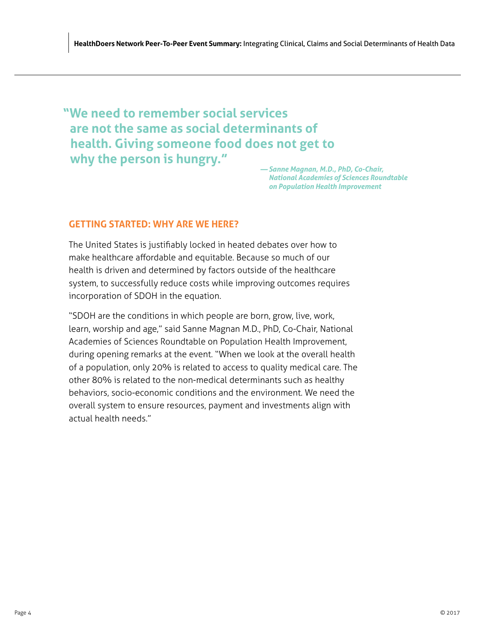<span id="page-7-0"></span>**"We need to remember social services are not the same as social determinants of health. Giving someone food does not get to why the person is hungry."** *— Sanne Magnan, M.D., PhD, Co-Chair,* 

*National Academies of Sciences Roundtable on Population Health Improvement* 

# **GETTING STARTED: WHY ARE WE HERE?**

The United States is justifiably locked in heated debates over how to make healthcare affordable and equitable. Because so much of our health is driven and determined by factors outside of the healthcare system, to successfully reduce costs while improving outcomes requires incorporation of SDOH in the equation.

"SDOH are the conditions in which people are born, grow, live, work, learn, worship and age," said Sanne Magnan M.D., PhD, Co-Chair, National Academies of Sciences Roundtable on Population Health Improvement, during opening remarks at the event. "When we look at the overall health of a population, only 20% is related to access to quality medical care. The other 80% is related to the non-medical determinants such as healthy behaviors, socio-economic conditions and the environment. We need the overall system to ensure resources, payment and investments align with actual health needs."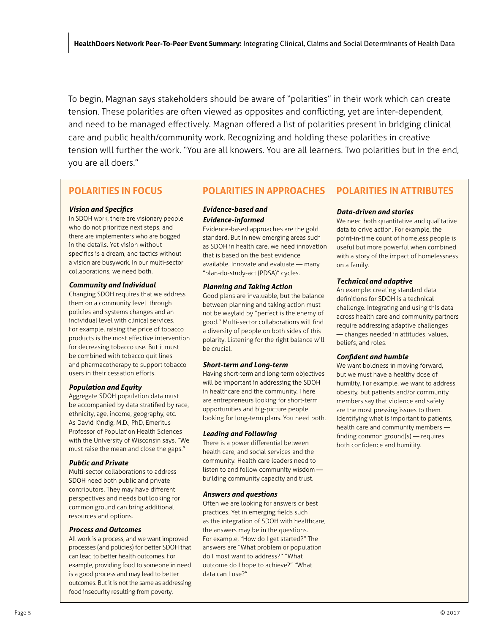To begin, Magnan says stakeholders should be aware of "polarities" in their work which can create tension. These polarities are often viewed as opposites and conflicting, yet are inter-dependent, and need to be managed effectively. Magnan offered a list of polarities present in bridging clinical care and public health/community work. Recognizing and holding these polarities in creative tension will further the work. "You are all knowers. You are all learners. Two polarities but in the end, you are all doers."

# **POLARITIES IN FOCUS**

## *Vision and Specifics*

In SDOH work, there are visionary people who do not prioritize next steps, and there are implementers who are bogged in the details. Yet vision without specifics is a dream, and tactics without a vision are busywork. In our multi-sector collaborations, we need both.

## *Community and Individual*

Changing SDOH requires that we address them on a community level through policies and systems changes and an individual level with clinical services. For example, raising the price of tobacco products is the most effective intervention for decreasing tobacco use. But it must be combined with tobacco quit lines and pharmacotherapy to support tobacco users in their cessation efforts.

## *Population and Equity*

Aggregate SDOH population data must be accompanied by data stratified by race, ethnicity, age, income, geography, etc. As David Kindig, M.D., PhD, Emeritus Professor of Population Health Sciences with the University of Wisconsin says, "We must raise the mean and close the gaps."

#### *Public and Private*

Multi-sector collaborations to address SDOH need both public and private contributors. They may have different perspectives and needs but looking for common ground can bring additional resources and options.

#### *Process and Outcomes*

All work is a process, and we want improved processes (and policies) for better SDOH that can lead to better health outcomes. For example, providing food to someone in need is a good process and may lead to better outcomes. But it is not the same as addressing food insecurity resulting from poverty.

#### **POLARITIES IN APPROACHES POLARITIES IN ATTRIBUTES**

## *Evidence-based and Evidence-informed*

Evidence-based approaches are the gold standard. But in new emerging areas such as SDOH in health care, we need innovation that is based on the best evidence available. Innovate and evaluate — many "plan-do-study-act (PDSA)" cycles.

## *Planning and Taking Action*

Good plans are invaluable, but the balance between planning and taking action must not be waylaid by "perfect is the enemy of good." Multi-sector collaborations will find a diversity of people on both sides of this polarity. Listening for the right balance will be crucial.

### *Short-term and Long-term*

Having short-term and long-term objectives will be important in addressing the SDOH in healthcare and the community. There are entrepreneurs looking for short-term opportunities and big-picture people looking for long-term plans. You need both.

## *Leading and Following*

There is a power differential between health care, and social services and the community. Health care leaders need to listen to and follow community wisdom building community capacity and trust.

### *Answers and questions*

Often we are looking for answers or best practices. Yet in emerging fields such as the integration of SDOH with healthcare, the answers may be in the questions. For example, "How do I get started?" The answers are "What problem or population do I most want to address?" "What outcome do I hope to achieve?" "What data can I use?"

## *Data-driven and stories*

We need both quantitative and qualitative data to drive action. For example, the point-in-time count of homeless people is useful but more powerful when combined with a story of the impact of homelessness on a family.

## *Technical and adaptive*

An example: creating standard data definitions for SDOH is a technical challenge. Integrating and using this data across health care and community partners require addressing adaptive challenges — changes needed in attitudes, values, beliefs, and roles.

## *Confident and humble*

We want boldness in moving forward, but we must have a healthy dose of humility. For example, we want to address obesity, but patients and/or community members say that violence and safety are the most pressing issues to them. Identifying what is important to patients, health care and community members finding common ground(s) — requires both confidence and humility.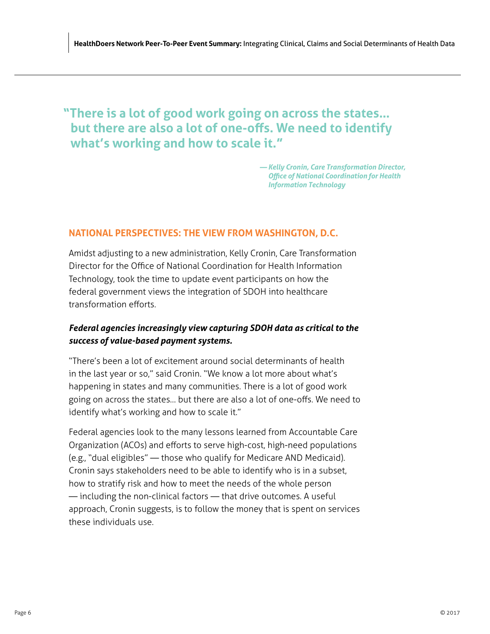# <span id="page-9-0"></span>**"There is a lot of good work going on across the states… but there are also a lot of one-offs. We need to identify what's working and how to scale it."**

*— Kelly Cronin, Care Transformation Director, Office of National Coordination for Health Information Technology*

# **NATIONAL PERSPECTIVES: THE VIEW FROM WASHINGTON, D.C.**

Amidst adjusting to a new administration, Kelly Cronin, Care Transformation Director for the Office of National Coordination for Health Information Technology, took the time to update event participants on how the federal government views the integration of SDOH into healthcare transformation efforts.

# *Federal agencies increasingly view capturing SDOH data as critical to the success of value-based payment systems.*

"There's been a lot of excitement around social determinants of health in the last year or so," said Cronin. "We know a lot more about what's happening in states and many communities. There is a lot of good work going on across the states… but there are also a lot of one-offs. We need to identify what's working and how to scale it."

Federal agencies look to the many lessons learned from Accountable Care Organization (ACOs) and efforts to serve high-cost, high-need populations (e.g., "dual eligibles" — those who qualify for Medicare AND Medicaid). Cronin says stakeholders need to be able to identify who is in a subset, how to stratify risk and how to meet the needs of the whole person — including the non-clinical factors — that drive outcomes. A useful approach, Cronin suggests, is to follow the money that is spent on services these individuals use.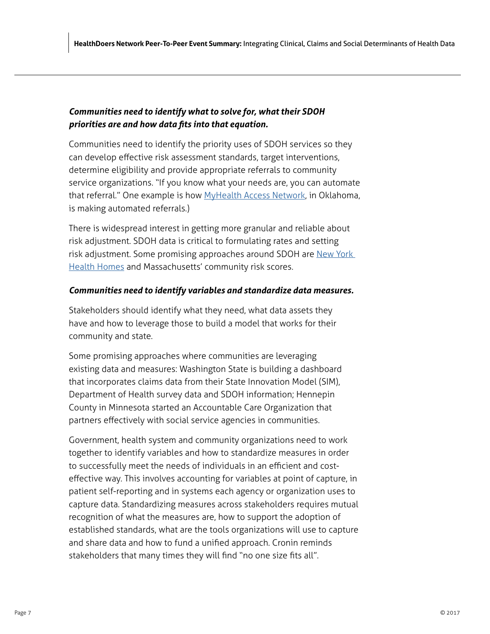# *Communities need to identify what to solve for, what their SDOH priorities are and how data fits into that equation.*

Communities need to identify the priority uses of SDOH services so they can develop effective risk assessment standards, target interventions, determine eligibility and provide appropriate referrals to community service organizations. "If you know what your needs are, you can automate that referral." One example is how [MyHealth Access Network](http://myhealthaccess.net/), in Oklahoma, is making automated referrals.)

There is widespread interest in getting more granular and reliable about risk adjustment. SDOH data is critical to formulating rates and setting risk adjustment. Some promising approaches around SDOH are New York [Health Homes](https://www.health.ny.gov/health_care/medicaid/program/medicaid_health_homes/) and Massachusetts' community risk scores.

# *Communities need to identify variables and standardize data measures.*

Stakeholders should identify what they need, what data assets they have and how to leverage those to build a model that works for their community and state.

Some promising approaches where communities are leveraging existing data and measures: Washington State is building a dashboard that incorporates claims data from their State Innovation Model (SIM), Department of Health survey data and SDOH information; Hennepin County in Minnesota started an Accountable Care Organization that partners effectively with social service agencies in communities.

Government, health system and community organizations need to work together to identify variables and how to standardize measures in order to successfully meet the needs of individuals in an efficient and costeffective way. This involves accounting for variables at point of capture, in patient self-reporting and in systems each agency or organization uses to capture data. Standardizing measures across stakeholders requires mutual recognition of what the measures are, how to support the adoption of established standards, what are the tools organizations will use to capture and share data and how to fund a unified approach. Cronin reminds stakeholders that many times they will find "no one size fits all".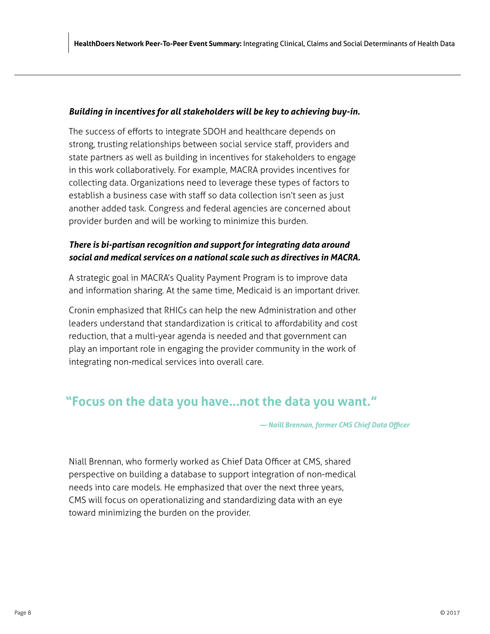# *Building in incentives for all stakeholders will be key to achieving buy-in.*

The success of efforts to integrate SDOH and healthcare depends on strong, trusting relationships between social service staff, providers and state partners as well as building in incentives for stakeholders to engage in this work collaboratively. For example, MACRA provides incentives for collecting data. Organizations need to leverage these types of factors to establish a business case with staff so data collection isn't seen as just another added task. Congress and federal agencies are concerned about provider burden and will be working to minimize this burden.

# *There is bi-partisan recognition and support for integrating data around social and medical services on a national scale such as directives in MACRA.*

A strategic goal in MACRA's Quality Payment Program is to improve data and information sharing. At the same time, Medicaid is an important driver.

Cronin emphasized that RHICs can help the new Administration and other leaders understand that standardization is critical to affordability and cost reduction, that a multi-year agenda is needed and that government can play an important role in engaging the provider community in the work of integrating non-medical services into overall care.

# **"Focus on the data you have…not the data you want."**

*— Naill Brennan, former CMS Chief Data Officer*

Niall Brennan, who formerly worked as Chief Data Officer at CMS, shared perspective on building a database to support integration of non-medical needs into care models. He emphasized that over the next three years, CMS will focus on operationalizing and standardizing data with an eye toward minimizing the burden on the provider.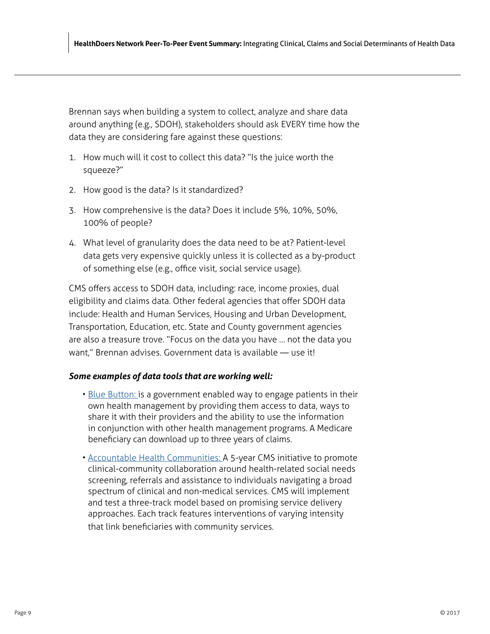Brennan says when building a system to collect, analyze and share data around anything (e.g., SDOH), stakeholders should ask EVERY time how the data they are considering fare against these questions:

- 1. How much will it cost to collect this data? "Is the juice worth the squeeze?"
- 2. How good is the data? Is it standardized?
- 3. How comprehensive is the data? Does it include 5%, 10%, 50%, 100% of people?
- 4. What level of granularity does the data need to be at? Patient-level data gets very expensive quickly unless it is collected as a by-product of something else (e.g., office visit, social service usage).

CMS offers access to SDOH data, including: race, income proxies, dual eligibility and claims data. Other federal agencies that offer SDOH data include: Health and Human Services, Housing and Urban Development, Transportation, Education, etc. State and County government agencies are also a treasure trove. "Focus on the data you have … not the data you want," Brennan advises. Government data is available — use it!

# *Some examples of data tools that are working well:*

- [Blue Button: i](https://www.healthit.gov/patients-families/blue-button/about-blue-button)s a government enabled way to engage patients in their own health management by providing them access to data, ways to share it with their providers and the ability to use the information in conjunction with other health management programs. A Medicare beneficiary can download up to three years of claims.
- [Accountable Health Communities:](https://innovation.cms.gov/initiatives/ahcm/) A 5-year CMS initiative to promote clinical-community collaboration around health-related social needs screening, referrals and assistance to individuals navigating a broad spectrum of clinical and non-medical services. CMS will implement and test a three-track model based on promising service delivery approaches. Each track features interventions of varying intensity that link beneficiaries with community services.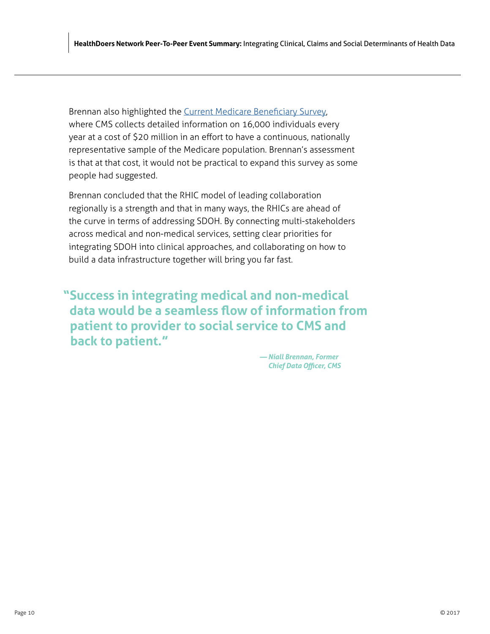Brennan also highlighted the [Current Medicare Beneficiary Survey](https://www.cms.gov/Research-Statistics-Data-and-Systems/Research/MCBS/index.html?redirect=/MCBS/), where CMS collects detailed information on 16,000 individuals every year at a cost of \$20 million in an effort to have a continuous, nationally representative sample of the Medicare population. Brennan's assessment is that at that cost, it would not be practical to expand this survey as some people had suggested.

Brennan concluded that the RHIC model of leading collaboration regionally is a strength and that in many ways, the RHICs are ahead of the curve in terms of addressing SDOH. By connecting multi-stakeholders across medical and non-medical services, setting clear priorities for integrating SDOH into clinical approaches, and collaborating on how to build a data infrastructure together will bring you far fast.

**"Success in integrating medical and non-medical data would be a seamless flow of information from patient to provider to social service to CMS and back to patient."**

> *— Niall Brennan, Former Chief Data Officer, CMS*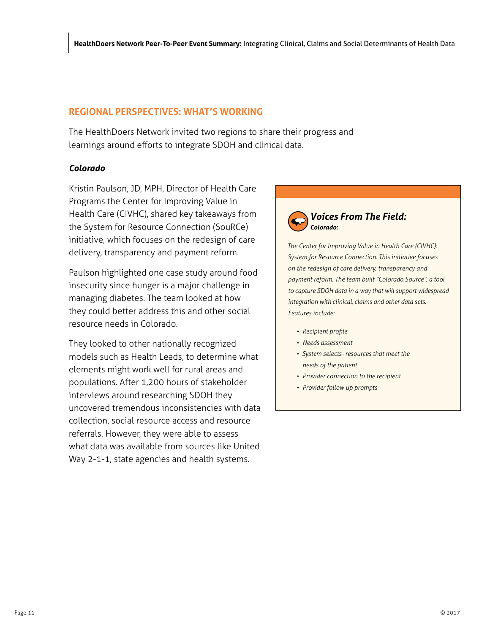# <span id="page-14-0"></span>**REGIONAL PERSPECTIVES: WHAT'S WORKING**

The HealthDoers Network invited two regions to share their progress and learnings around efforts to integrate SDOH and clinical data.

# *Colorado*

Kristin Paulson, JD, MPH, Director of Health Care Programs the Center for Improving Value in Health Care (CIVHC), shared key takeaways from the System for Resource Connection (SouRCe) initiative, which focuses on the redesign of care delivery, transparency and payment reform.

Paulson highlighted one case study around food insecurity since hunger is a major challenge in managing diabetes. The team looked at how they could better address this and other social resource needs in Colorado.

They looked to other nationally recognized models such as Health Leads, to determine what elements might work well for rural areas and populations. After 1,200 hours of stakeholder interviews around researching SDOH they uncovered tremendous inconsistencies with data collection, social resource access and resource referrals. However, they were able to assess what data was available from sources like United Way 2-1-1, state agencies and health systems.



*The Center for Improving Value in Health Care (CIVHC): System for Resource Connection. This initiative focuses on the redesign of care delivery, transparency and payment reform. The team built "Colorado Source", a tool to capture SDOH data in a way that will support widespread integration with clinical, claims and other data sets. Features include:*

- *• Recipient profile*
- *• Needs assessment*
- *• System selects- resources that meet the needs of the patient*
- *• Provider connection to the recipient*
- *• Provider follow up prompts*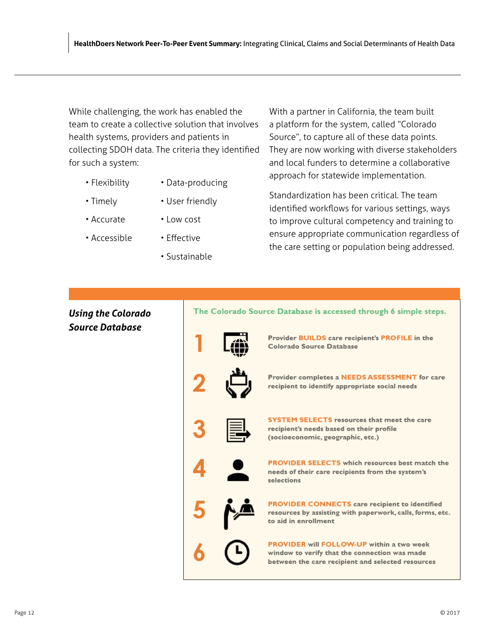While challenging, the work has enabled the team to create a collective solution that involves health systems, providers and patients in collecting SDOH data. The criteria they identified for such a system:

- Flexibility
- Data-producing

• User friendly

- Timely
- Low cost
- Accessible

• Accurate

- Effective
- Sustainable

With a partner in California, the team built a platform for the system, called "Colorado Source", to capture all of these data points. They are now working with diverse stakeholders and local funders to determine a collaborative approach for statewide implementation.

Standardization has been critical. The team identified workflows for various settings, ways to improve cultural competency and training to ensure appropriate communication regardless of the care setting or population being addressed.

# *Using the Colorado Source Database*

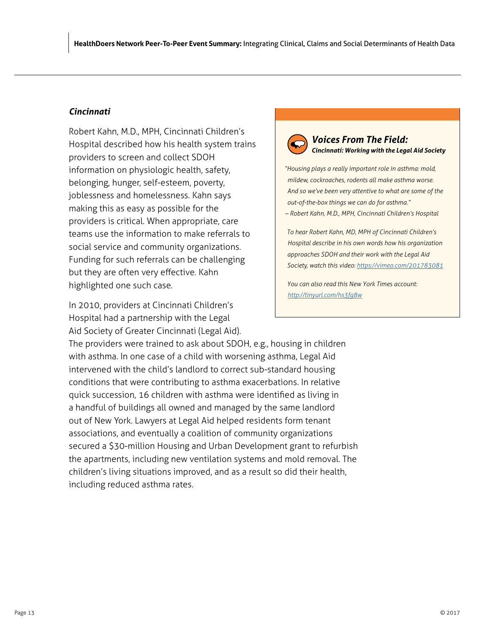# *Cincinnati*

Robert Kahn, M.D., MPH, Cincinnati Children's Hospital described how his health system trains providers to screen and collect SDOH information on physiologic health, safety, belonging, hunger, self-esteem, poverty, joblessness and homelessness. Kahn says making this as easy as possible for the providers is critical. When appropriate, care teams use the information to make referrals to social service and community organizations. Funding for such referrals can be challenging but they are often very effective. Kahn highlighted one such case.

In 2010, providers at Cincinnati Children's Hospital had a partnership with the Legal Aid Society of Greater Cincinnati (Legal Aid).

The providers were trained to ask about SDOH, e.g., housing in children with asthma. In one case of a child with worsening asthma, Legal Aid intervened with the child's landlord to correct sub-standard housing conditions that were contributing to asthma exacerbations. In relative quick succession, 16 children with asthma were identified as living in a handful of buildings all owned and managed by the same landlord out of New York. Lawyers at Legal Aid helped residents form tenant associations, and eventually a coalition of community organizations secured a \$30-million Housing and Urban Development grant to refurbish the apartments, including new ventilation systems and mold removal. The children's living situations improved, and as a result so did their health, including reduced asthma rates.

# *Voices From The Field: Cincinnati: Working with the Legal Aid Society*

*"Housing plays a really important role in asthma: mold, mildew, cockroaches, rodents all make asthma worse. And so we've been very attentive to what are some of the out-of-the-box things we can do for asthma."* 

*– Robert Kahn, M.D., MPH, Cincinnati Children's Hospital*

*To hear Robert Kahn, MD, MPH of Cincinnati Children's Hospital describe in his own words how his organization approaches SDOH and their work with the Legal Aid Society, watch this video: <https://vimeo.com/201783081>*

*You can also read this New York Times account: <http://tinyurl.com/hs3fg8w>*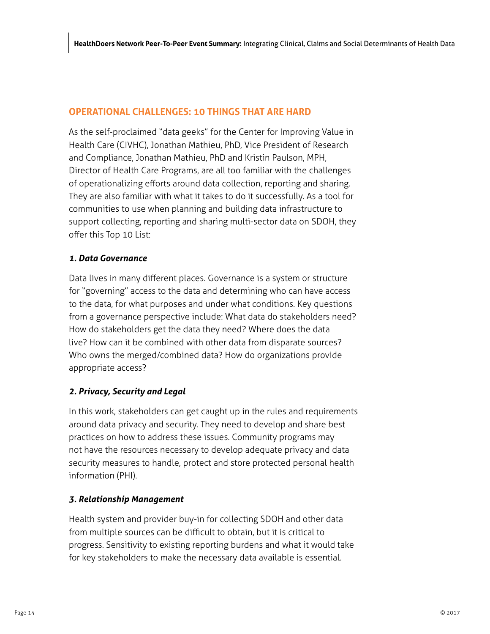# <span id="page-17-0"></span>**OPERATIONAL CHALLENGES: 10 THINGS THAT ARE HARD**

As the self-proclaimed "data geeks" for the Center for Improving Value in Health Care (CIVHC), Jonathan Mathieu, PhD, Vice President of Research and Compliance, Jonathan Mathieu, PhD and Kristin Paulson, MPH, Director of Health Care Programs, are all too familiar with the challenges of operationalizing efforts around data collection, reporting and sharing. They are also familiar with what it takes to do it successfully. As a tool for communities to use when planning and building data infrastructure to support collecting, reporting and sharing multi-sector data on SDOH, they offer this Top 10 List:

# *1. Data Governance*

Data lives in many different places. Governance is a system or structure for "governing" access to the data and determining who can have access to the data, for what purposes and under what conditions. Key questions from a governance perspective include: What data do stakeholders need? How do stakeholders get the data they need? Where does the data live? How can it be combined with other data from disparate sources? Who owns the merged/combined data? How do organizations provide appropriate access?

# *2. Privacy, Security and Legal*

In this work, stakeholders can get caught up in the rules and requirements around data privacy and security. They need to develop and share best practices on how to address these issues. Community programs may not have the resources necessary to develop adequate privacy and data security measures to handle, protect and store protected personal health information (PHI).

# *3. Relationship Management*

Health system and provider buy-in for collecting SDOH and other data from multiple sources can be difficult to obtain, but it is critical to progress. Sensitivity to existing reporting burdens and what it would take for key stakeholders to make the necessary data available is essential.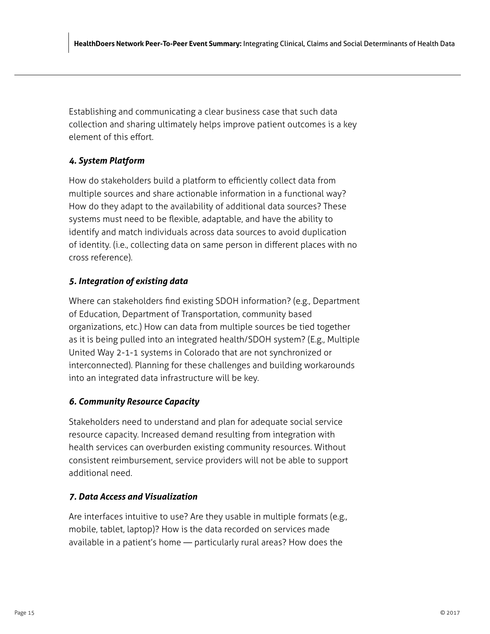Establishing and communicating a clear business case that such data collection and sharing ultimately helps improve patient outcomes is a key element of this effort.

# *4. System Platform*

How do stakeholders build a platform to efficiently collect data from multiple sources and share actionable information in a functional way? How do they adapt to the availability of additional data sources? These systems must need to be flexible, adaptable, and have the ability to identify and match individuals across data sources to avoid duplication of identity. (i.e., collecting data on same person in different places with no cross reference).

# *5. Integration of existing data*

Where can stakeholders find existing SDOH information? (e.g., Department of Education, Department of Transportation, community based organizations, etc.) How can data from multiple sources be tied together as it is being pulled into an integrated health/SDOH system? (E.g., Multiple United Way 2-1-1 systems in Colorado that are not synchronized or interconnected). Planning for these challenges and building workarounds into an integrated data infrastructure will be key.

# *6. Community Resource Capacity*

Stakeholders need to understand and plan for adequate social service resource capacity. Increased demand resulting from integration with health services can overburden existing community resources. Without consistent reimbursement, service providers will not be able to support additional need.

# *7. Data Access and Visualization*

Are interfaces intuitive to use? Are they usable in multiple formats (e.g., mobile, tablet, laptop)? How is the data recorded on services made available in a patient's home — particularly rural areas? How does the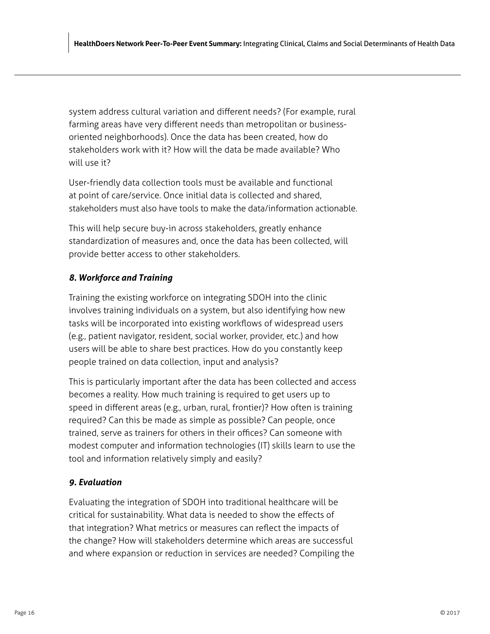system address cultural variation and different needs? (For example, rural farming areas have very different needs than metropolitan or businessoriented neighborhoods). Once the data has been created, how do stakeholders work with it? How will the data be made available? Who will use it?

User-friendly data collection tools must be available and functional at point of care/service. Once initial data is collected and shared, stakeholders must also have tools to make the data/information actionable.

This will help secure buy-in across stakeholders, greatly enhance standardization of measures and, once the data has been collected, will provide better access to other stakeholders.

# *8. Workforce and Training*

Training the existing workforce on integrating SDOH into the clinic involves training individuals on a system, but also identifying how new tasks will be incorporated into existing workflows of widespread users (e.g., patient navigator, resident, social worker, provider, etc.) and how users will be able to share best practices. How do you constantly keep people trained on data collection, input and analysis?

This is particularly important after the data has been collected and access becomes a reality. How much training is required to get users up to speed in different areas (e.g., urban, rural, frontier)? How often is training required? Can this be made as simple as possible? Can people, once trained, serve as trainers for others in their offices? Can someone with modest computer and information technologies (IT) skills learn to use the tool and information relatively simply and easily?

# *9. Evaluation*

Evaluating the integration of SDOH into traditional healthcare will be critical for sustainability. What data is needed to show the effects of that integration? What metrics or measures can reflect the impacts of the change? How will stakeholders determine which areas are successful and where expansion or reduction in services are needed? Compiling the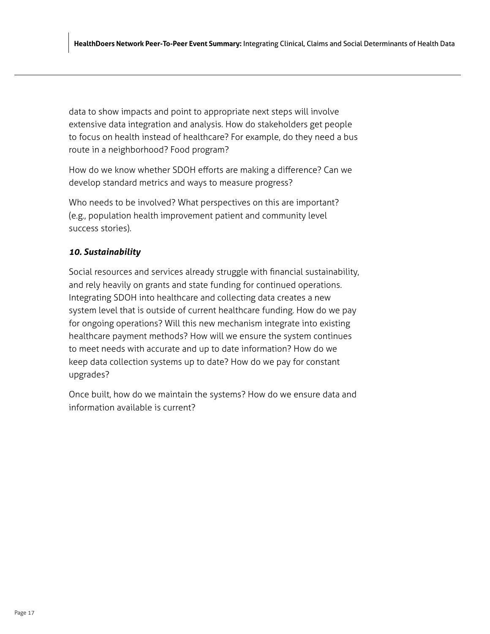data to show impacts and point to appropriate next steps will involve extensive data integration and analysis. How do stakeholders get people to focus on health instead of healthcare? For example, do they need a bus route in a neighborhood? Food program?

How do we know whether SDOH efforts are making a difference? Can we develop standard metrics and ways to measure progress?

Who needs to be involved? What perspectives on this are important? (e.g., population health improvement patient and community level success stories).

# *10. Sustainability*

Social resources and services already struggle with financial sustainability, and rely heavily on grants and state funding for continued operations. Integrating SDOH into healthcare and collecting data creates a new system level that is outside of current healthcare funding. How do we pay for ongoing operations? Will this new mechanism integrate into existing healthcare payment methods? How will we ensure the system continues to meet needs with accurate and up to date information? How do we keep data collection systems up to date? How do we pay for constant upgrades?

Once built, how do we maintain the systems? How do we ensure data and information available is current?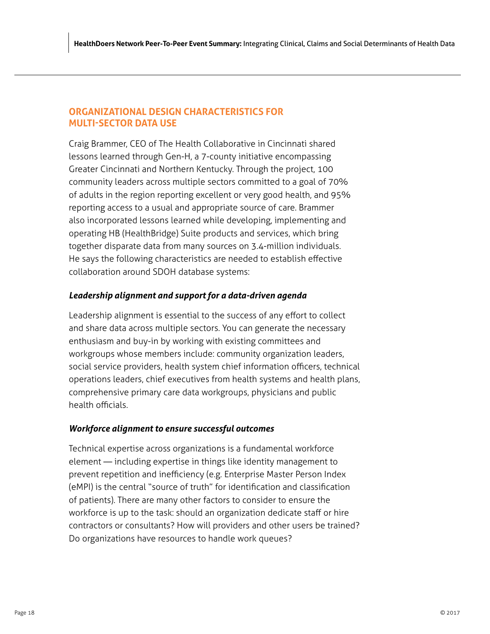# <span id="page-21-0"></span>**ORGANIZATIONAL DESIGN CHARACTERISTICS FOR MULTI-SECTOR DATA USE**

Craig Brammer, CEO of The Health Collaborative in Cincinnati shared lessons learned through Gen-H, a 7-county initiative encompassing Greater Cincinnati and Northern Kentucky. Through the project, 100 community leaders across multiple sectors committed to a goal of 70% of adults in the region reporting excellent or very good health, and 95% reporting access to a usual and appropriate source of care. Brammer also incorporated lessons learned while developing, implementing and operating HB (HealthBridge) Suite products and services, which bring together disparate data from many sources on 3.4-million individuals. He says the following characteristics are needed to establish effective collaboration around SDOH database systems:

# *Leadership alignment and support for a data-driven agenda*

Leadership alignment is essential to the success of any effort to collect and share data across multiple sectors. You can generate the necessary enthusiasm and buy-in by working with existing committees and workgroups whose members include: community organization leaders, social service providers, health system chief information officers, technical operations leaders, chief executives from health systems and health plans, comprehensive primary care data workgroups, physicians and public health officials.

# *Workforce alignment to ensure successful outcomes*

Technical expertise across organizations is a fundamental workforce element — including expertise in things like identity management to prevent repetition and inefficiency (e.g. Enterprise Master Person Index (eMPI) is the central "source of truth" for identification and classification of patients). There are many other factors to consider to ensure the workforce is up to the task: should an organization dedicate staff or hire contractors or consultants? How will providers and other users be trained? Do organizations have resources to handle work queues?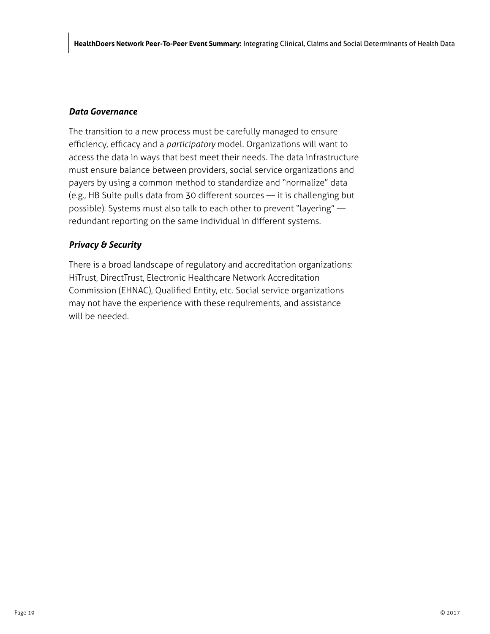# *Data Governance*

The transition to a new process must be carefully managed to ensure efficiency, efficacy and a *participatory* model. Organizations will want to access the data in ways that best meet their needs. The data infrastructure must ensure balance between providers, social service organizations and payers by using a common method to standardize and "normalize" data (e.g., HB Suite pulls data from 30 different sources — it is challenging but possible). Systems must also talk to each other to prevent "layering" redundant reporting on the same individual in different systems.

# *Privacy & Security*

There is a broad landscape of regulatory and accreditation organizations: HiTrust, DirectTrust, Electronic Healthcare Network Accreditation Commission (EHNAC), Qualified Entity, etc. Social service organizations may not have the experience with these requirements, and assistance will be needed.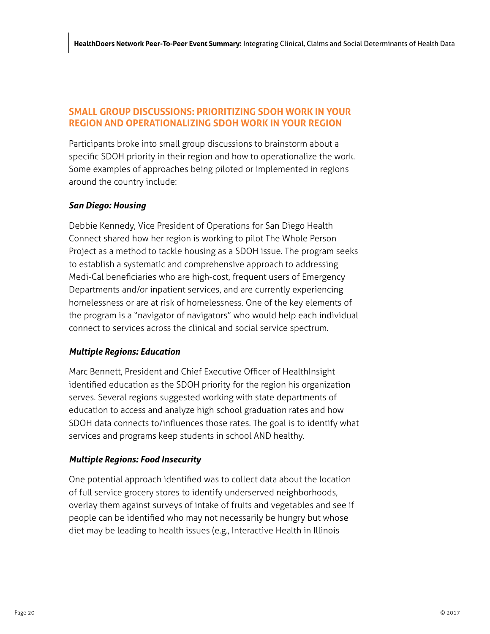# <span id="page-23-0"></span>**SMALL GROUP DISCUSSIONS: PRIORITIZING SDOH WORK IN YOUR REGION AND OPERATIONALIZING SDOH WORK IN YOUR REGION**

Participants broke into small group discussions to brainstorm about a specific SDOH priority in their region and how to operationalize the work. Some examples of approaches being piloted or implemented in regions around the country include:

# *San Diego: Housing*

Debbie Kennedy, Vice President of Operations for San Diego Health Connect shared how her region is working to pilot The Whole Person Project as a method to tackle housing as a SDOH issue. The program seeks to establish a systematic and comprehensive approach to addressing Medi-Cal beneficiaries who are high-cost, frequent users of Emergency Departments and/or inpatient services, and are currently experiencing homelessness or are at risk of homelessness. One of the key elements of the program is a "navigator of navigators" who would help each individual connect to services across the clinical and social service spectrum.

# *Multiple Regions: Education*

Marc Bennett, President and Chief Executive Officer of HealthInsight identified education as the SDOH priority for the region his organization serves. Several regions suggested working with state departments of education to access and analyze high school graduation rates and how SDOH data connects to/influences those rates. The goal is to identify what services and programs keep students in school AND healthy.

# *Multiple Regions: Food Insecurity*

One potential approach identified was to collect data about the location of full service grocery stores to identify underserved neighborhoods, overlay them against surveys of intake of fruits and vegetables and see if people can be identified who may not necessarily be hungry but whose diet may be leading to health issues (e.g., Interactive Health in Illinois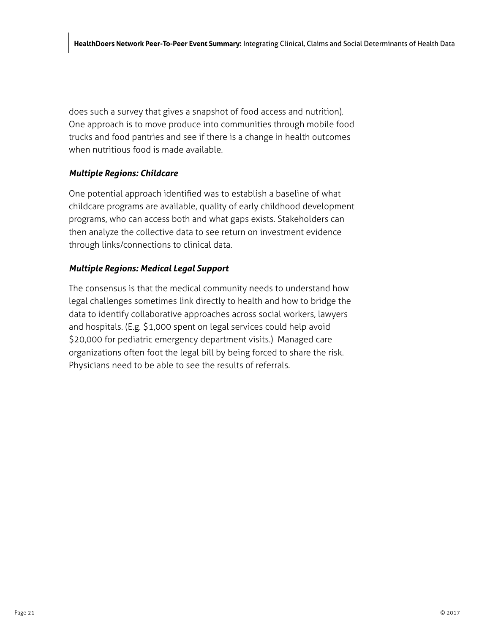does such a survey that gives a snapshot of food access and nutrition). One approach is to move produce into communities through mobile food trucks and food pantries and see if there is a change in health outcomes when nutritious food is made available.

# *Multiple Regions: Childcare*

One potential approach identified was to establish a baseline of what childcare programs are available, quality of early childhood development programs, who can access both and what gaps exists. Stakeholders can then analyze the collective data to see return on investment evidence through links/connections to clinical data.

# *Multiple Regions: Medical Legal Support*

The consensus is that the medical community needs to understand how legal challenges sometimes link directly to health and how to bridge the data to identify collaborative approaches across social workers, lawyers and hospitals. (E.g. \$1,000 spent on legal services could help avoid \$20,000 for pediatric emergency department visits.) Managed care organizations often foot the legal bill by being forced to share the risk. Physicians need to be able to see the results of referrals.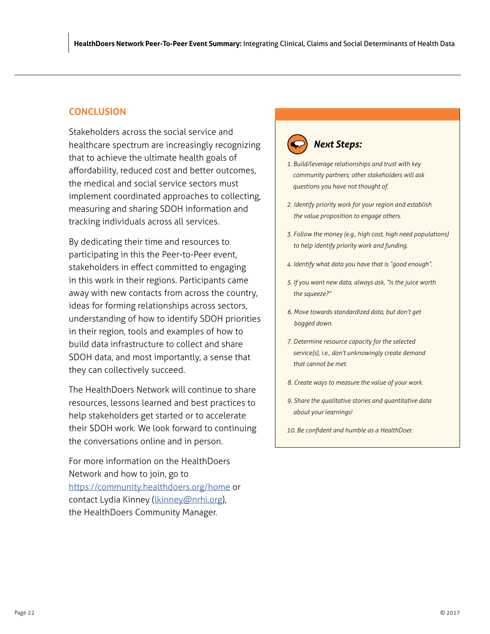# <span id="page-25-0"></span>**CONCLUSION**

Stakeholders across the social service and healthcare spectrum are increasingly recognizing that to achieve the ultimate health goals of affordability, reduced cost and better outcomes, the medical and social service sectors must implement coordinated approaches to collecting, measuring and sharing SDOH information and tracking individuals across all services.

By dedicating their time and resources to participating in this the Peer-to-Peer event, stakeholders in effect committed to engaging in this work in their regions. Participants came away with new contacts from across the country, ideas for forming relationships across sectors, understanding of how to identify SDOH priorities in their region, tools and examples of how to build data infrastructure to collect and share SDOH data, and most importantly, a sense that they can collectively succeed.

The HealthDoers Network will continue to share resources, lessons learned and best practices to help stakeholders get started or to accelerate their SDOH work. We look forward to continuing the conversations online and in person.

For more information on the HealthDoers Network and how to join, go to https://community.healthdoers.org/home or contact Lydia Kinney (*lkinney@nrhi.org*), the HealthDoers Community Manager.

# *Next Steps:*

- *1. Build/leverage relationships and trust with key community partners; other stakeholders will ask questions you have not thought of.*
- *2. Identify priority work for your region and establish the value proposition to engage others.*
- *3. Follow the money (e.g., high cost, high need populations) to help identify priority work and funding.*
- *4. Identify what data you have that is "good enough".*
- *5. If you want new data, always ask, "Is the juice worth the squeeze?"*
- *6. Move towards standardized data, but don't get bogged down.*
- *7. Determine resource capacity for the selected service(s), i.e., don't unknowingly create demand that cannot be met.*
- *8. Create ways to measure the value of your work.*
- *9. Share the qualitative stories and quantitative data about your learnings!*
- *10. Be confident and humble as a HealthDoer.*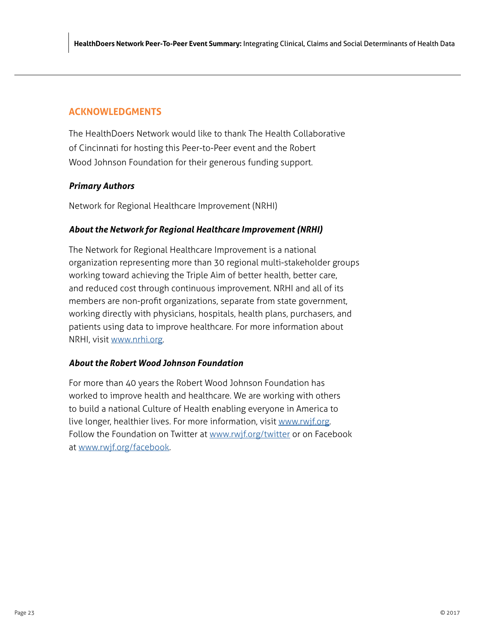# **ACKNOWLEDGMENTS**

The HealthDoers Network would like to thank The Health Collaborative of Cincinnati for hosting this Peer-to-Peer event and the Robert Wood Johnson Foundation for their generous funding support.

# *Primary Authors*

Network for Regional Healthcare Improvement (NRHI)

# *About the Network for Regional Healthcare Improvement (NRHI)*

The Network for Regional Healthcare Improvement is a national organization representing more than 30 regional multi-stakeholder groups working toward achieving the Triple Aim of better health, better care, and reduced cost through continuous improvement. NRHI and all of its members are non-profit organizations, separate from state government, working directly with physicians, hospitals, health plans, purchasers, and patients using data to improve healthcare. For more information about NRHI, visit [www.nrhi.org](http://www.nrhi.org).

# *About the Robert Wood Johnson Foundation*

For more than 40 years the Robert Wood Johnson Foundation has worked to improve health and healthcare. We are working with others to build a national Culture of Health enabling everyone in America to live longer, healthier lives. For more information, visit [www.rwjf.org.](http://www.rwjf.org) Follow the Foundation on Twitter at [www.rwjf.org/twitter](http://www.rwjf.org/twitter) or on Facebook at [www.rwjf.org/facebook.](http://www.rwjf.org/facebook)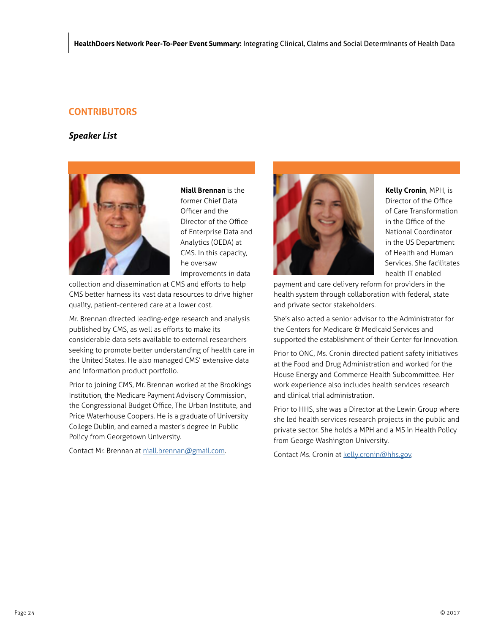# **CONTRIBUTORS**

# *Speaker List*



**Niall Brennan** is the former Chief Data Officer and the Director of the Office of Enterprise Data and Analytics (OEDA) at CMS. In this capacity, he oversaw improvements in data

collection and dissemination at CMS and efforts to help CMS better harness its vast data resources to drive higher quality, patient-centered care at a lower cost.

Mr. Brennan directed leading-edge research and analysis published by CMS, as well as efforts to make its considerable data sets available to external researchers seeking to promote better understanding of health care in the United States. He also managed CMS' extensive data and information product portfolio.

Prior to joining CMS, Mr. Brennan worked at the Brookings Institution, the Medicare Payment Advisory Commission, the Congressional Budget Office, The Urban Institute, and Price Waterhouse Coopers. He is a graduate of University College Dublin, and earned a master's degree in Public Policy from Georgetown University.

Contact Mr. Brennan at [niall.brennan@gmail.com.](mailto:niall.brennan@gmail.com)



**Kelly Cronin**, MPH, is Director of the Office of Care Transformation in the Office of the National Coordinator in the US Department of Health and Human Services. She facilitates health IT enabled

payment and care delivery reform for providers in the health system through collaboration with federal, state and private sector stakeholders.

She's also acted a senior advisor to the Administrator for the Centers for Medicare & Medicaid Services and supported the establishment of their Center for Innovation.

Prior to ONC, Ms. Cronin directed patient safety initiatives at the Food and Drug Administration and worked for the House Energy and Commerce Health Subcommittee. Her work experience also includes health services research and clinical trial administration.

Prior to HHS, she was a Director at the Lewin Group where she led health services research projects in the public and private sector. She holds a MPH and a MS in Health Policy from George Washington University.

Contact Ms. Cronin at [kelly.cronin@hhs.gov](mailto:Kelly.cronin@hhs.gov).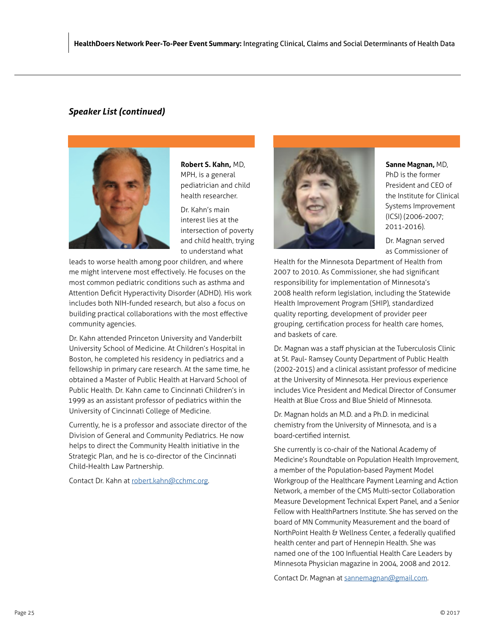# *Speaker List (continued)*



**Robert S. Kahn,** MD, MPH, is a general pediatrician and child health researcher.

Dr. Kahn's main interest lies at the intersection of poverty and child health, trying to understand what

leads to worse health among poor children, and where me might intervene most effectively. He focuses on the most common pediatric conditions such as asthma and Attention Deficit Hyperactivity Disorder (ADHD). His work includes both NIH-funded research, but also a focus on building practical collaborations with the most effective community agencies.

Dr. Kahn attended Princeton University and Vanderbilt University School of Medicine. At Children's Hospital in Boston, he completed his residency in pediatrics and a fellowship in primary care research. At the same time, he obtained a Master of Public Health at Harvard School of Public Health. Dr. Kahn came to Cincinnati Children's in 1999 as an assistant professor of pediatrics within the University of Cincinnati College of Medicine.

Currently, he is a professor and associate director of the Division of General and Community Pediatrics. He now helps to direct the Community Health initiative in the Strategic Plan, and he is co-director of the Cincinnati Child-Health Law Partnership.

Contact Dr. Kahn at r[obert.kahn@cchmc.org.](mailto:Robert.kahn@cchmc.org)



**Sanne Magnan,** MD,

PhD is the former President and CEO of the Institute for Clinical Systems Improvement (ICSI) (2006-2007; 2011-2016).

Dr. Magnan served as Commissioner of

Health for the Minnesota Department of Health from 2007 to 2010. As Commissioner, she had significant responsibility for implementation of Minnesota's 2008 health reform legislation, including the Statewide Health Improvement Program (SHIP), standardized quality reporting, development of provider peer grouping, certification process for health care homes, and baskets of care.

Dr. Magnan was a staff physician at the Tuberculosis Clinic at St. Paul- Ramsey County Department of Public Health (2002-2015) and a clinical assistant professor of medicine at the University of Minnesota. Her previous experience includes Vice President and Medical Director of Consumer Health at Blue Cross and Blue Shield of Minnesota.

Dr. Magnan holds an M.D. and a Ph.D. in medicinal chemistry from the University of Minnesota, and is a board-certified internist.

She currently is co-chair of the National Academy of Medicine's Roundtable on Population Health Improvement, a member of the Population-based Payment Model Workgroup of the Healthcare Payment Learning and Action Network, a member of the CMS Multi-sector Collaboration Measure Development Technical Expert Panel, and a Senior Fellow with HealthPartners Institute. She has served on the board of MN Community Measurement and the board of NorthPoint Health & Wellness Center, a federally qualified health center and part of Hennepin Health. She was named one of the 100 Influential Health Care Leaders by Minnesota Physician magazine in 2004, 2008 and 2012.

Contact Dr. Magnan at [sannemagnan@gmail.com](mailto:sannemagnan@gmail.com).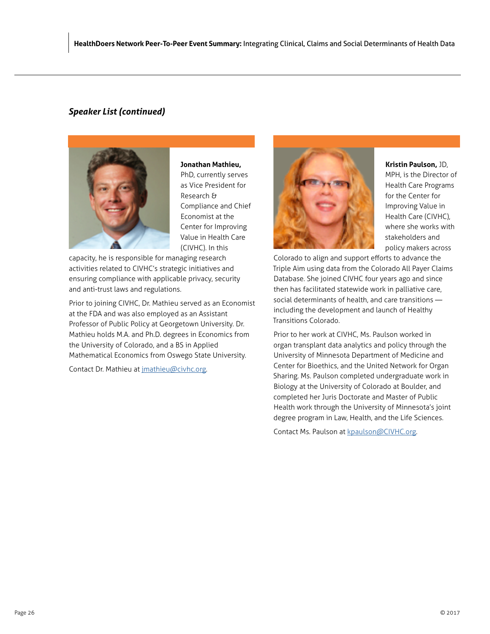# *Speaker List (continued)*



**Jonathan Mathieu,**

PhD, currently serves as Vice President for Research & Compliance and Chief Economist at the Center for Improving Value in Health Care (CIVHC). In this

capacity, he is responsible for managing research activities related to CIVHC's strategic initiatives and ensuring compliance with applicable privacy, security and anti-trust laws and regulations.

Prior to joining CIVHC, Dr. Mathieu served as an Economist at the FDA and was also employed as an Assistant Professor of Public Policy at Georgetown University. Dr. Mathieu holds M.A. and Ph.D. degrees in Economics from the University of Colorado, and a BS in Applied Mathematical Economics from Oswego State University.

Contact Dr. Mathieu at [jmathieu@civhc.org](mailto:jmathieu@civhc.org).



**Kristin Paulson,** JD,

MPH, is the Director of Health Care Programs for the Center for Improving Value in Health Care (CIVHC), where she works with stakeholders and policy makers across

Colorado to align and support efforts to advance the Triple Aim using data from the Colorado All Payer Claims Database. She joined CIVHC four years ago and since then has facilitated statewide work in palliative care, social determinants of health, and care transitions including the development and launch of Healthy Transitions Colorado.

Prior to her work at CIVHC, Ms. Paulson worked in organ transplant data analytics and policy through the University of Minnesota Department of Medicine and Center for Bioethics, and the United Network for Organ Sharing. Ms. Paulson completed undergraduate work in Biology at the University of Colorado at Boulder, and completed her Juris Doctorate and Master of Public Health work through the University of Minnesota's joint degree program in Law, Health, and the Life Sciences.

Contact Ms. Paulson at [kpaulson@CIVHC.org.](mailto:kpaulson@CIVHC.org)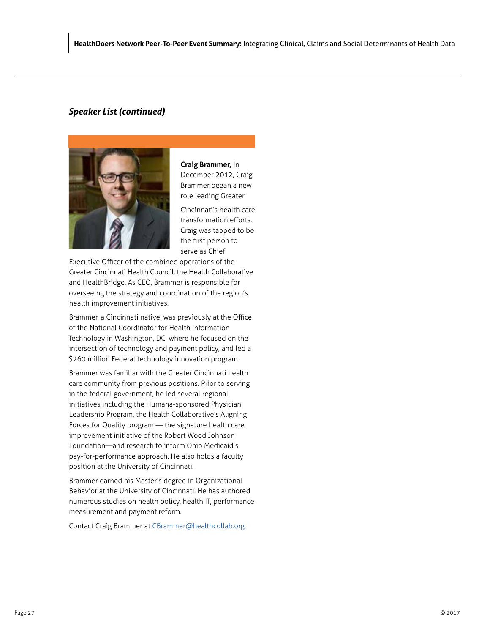# *Speaker List (continued)*



**Craig Brammer,** In December 2012, Craig

Brammer began a new role leading Greater

Cincinnati's health care transformation efforts. Craig was tapped to be the first person to serve as Chief

Executive Officer of the combined operations of the Greater Cincinnati Health Council, the Health Collaborative and HealthBridge. As CEO, Brammer is responsible for overseeing the strategy and coordination of the region's health improvement initiatives.

Brammer, a Cincinnati native, was previously at the Office of the National Coordinator for Health Information Technology in Washington, DC, where he focused on the intersection of technology and payment policy, and led a \$260 million Federal technology innovation program.

Brammer was familiar with the Greater Cincinnati health care community from previous positions. Prior to serving in the federal government, he led several regional initiatives including the Humana-sponsored Physician Leadership Program, the Health Collaborative's Aligning Forces for Quality program — the signature health care improvement initiative of the Robert Wood Johnson Foundation—and research to inform Ohio Medicaid's pay-for-performance approach. He also holds a faculty position at the University of Cincinnati.

Brammer earned his Master's degree in Organizational Behavior at the University of Cincinnati. He has authored numerous studies on health policy, health IT, performance measurement and payment reform.

Contact Craig Brammer at [CBrammer@healthcollab.org.](mailto:CBrammer@healthcollab.org.)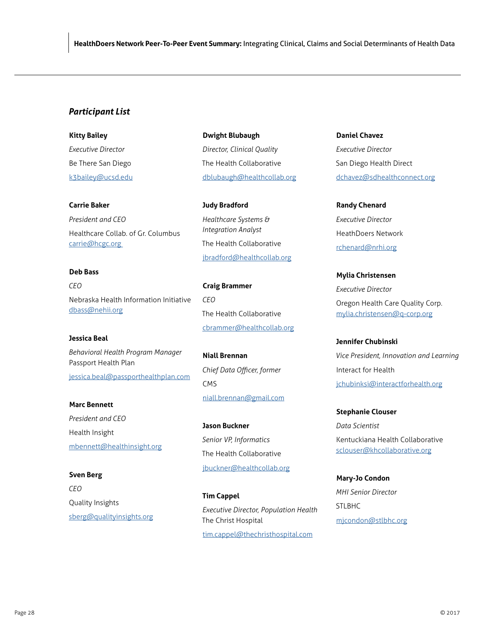# *Participant List*

**Kitty Bailey** *Executive Director* Be There San Diego [k3bailey@ucsd.edu](mailto:k3bailey@ucsd.edu)

## **Carrie Baker**

*President and CEO* Healthcare Collab. of Gr. Columbus [carrie@hcgc.org](mailto: carrie@hcgc.org) 

# **Deb Bass** *CEO* Nebraska Health Information Initiative [dbass@nehii.org](mailto: dbass@nehii.org)

**Jessica Beal** *Behavioral Health Program Manager* Passport Health Plan [jessica.beal@passporthealthplan.com](mailto:jessica.beal@passporthealthplan.com)

**Marc Bennett** *President and CEO* Health Insight [mbennett@healthinsight.org](mailto:mbennett@healthinsight.org)

## **Sven Berg**

*CEO* Quality Insights [sberg@qualityinsights.org](mailto:sberg@qualityinsights.org) **Dwight Blubaugh** *Director, Clinical Quality* The Health Collaborative [dblubaugh@healthcollab.org](mailto:dblubaugh@healthcollab.org)

**Judy Bradford** *Healthcare Systems & Integration Analyst* The Health Collaborative [jbradford@healthcollab.org](mailto:jbradford@healthcollab.org)

**Craig Brammer** *CEO* The Health Collaborative [cbrammer@healthcollab.org](mailto:cbrammer@healthcollab.org)

**Niall Brennan** *Chief Data Officer, former*  CMS [niall.brennan@gmail.com](mailto:niall.brennan@gmail.com)

**Jason Buckner** *Senior VP, Informatics* The Health Collaborative [jbuckner@healthcollab.org](mailto:jbuckner@healthcollab.org)

**Tim Cappel** *Executive Director, Population Health* The Christ Hospital [tim.cappel@thechristhospital.com](mailto:tim.cappel@thechristhospital.com)

**Daniel Chavez** *Executive Director* San Diego Health Direct [dchavez@sdhealthconnect.org](mailto:dchavez@sdhealthconnect.org)

**Randy Chenard** *Executive Director* HeathDoers Network [rchenard@nrhi.org](mailto:rchenard@nrhi.org)

**Mylia Christensen** *Executive Director* Oregon Health Care Quality Corp. [mylia.christensen@q-corp.org](mailto:mylia.christensen@q-corp.org)

**Jennifer Chubinski** *Vice President, Innovation and Learning* Interact for Health [jchubinksi@interactforhealth.org](mailto:jchubinksi@interactforhealth.org)

**Stephanie Clouser** *Data Scientist* Kentuckiana Health Collaborative [sclouser@khcollaborative.org](mailto:sclouser@khcollaborative.org)

**Mary-Jo Condon** *MHI Senior Director* STLBHC [mjcondon@stlbhc.org](mailto:mjcondon@stlbhc.org)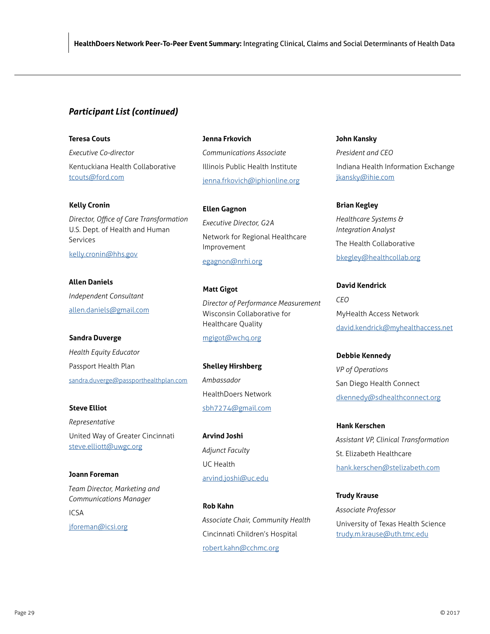## **Teresa Couts**

*Executive Co-director* Kentuckiana Health Collaborative [tcouts@ford.com](mailto:tcouts@ford.com)

## **Kelly Cronin**

*Director, Office of Care Transformation* U.S. Dept. of Health and Human Services [kelly.cronin@hhs.gov](mailto:kelly.cronin@hhs.gov)

**Allen Daniels** *Independent Consultant* [allen.daniels@gmail.com](mailto:allen.daniels@gmail.com)

**Sandra Duverge** *Health Equity Educator* Passport Health Plan s[andra.duverge@passporthealthplan.com](mailto:Sandra.duverge@passporthealthplan.com)

**Steve Elliot** *Representative* United Way of Greater Cincinnati [steve.elliott@uwgc.org](mailto:steve.elliott@uwgc.org)

**Joann Foreman** *Team Director, Marketing and Communications Manager* 

ICSA [jforeman@icsi.org](mailto:jforeman@icsi.org)

## **Jenna Frkovich**

*Communications Associate* Illinois Public Health Institute [jenna.frkovich@iphionline.org](mailto:jenna.frkovich@iphionline.org)

**Ellen Gagnon** *Executive Director, G2A* Network for Regional Healthcare Improvement [egagnon@nrhi.org](mailto:egagnon@nrhi.org)

**Matt Gigot**

*Director of Performance Measurement* Wisconsin Collaborative for Healthcare Quality

[mgigot@wchq.org](mailto:mgigot@wchq.org)

**Shelley Hirshberg** *Ambassador* HealthDoers Network [sbh7274@gmail.com](mailto:sbh7274@gmail.com)

**Arvind Joshi** *Adjunct Faculty* UC Health [arvind.joshi@uc.edu](mailto:arvind.joshi@uc.edu)

**Rob Kahn** *Associate Chair, Community Health* Cincinnati Children's Hospital [robert.kahn@cchmc.org](mailto:robert.kahn@cchmc.org)

## **John Kansky**

*President and CEO* Indiana Health Information Exchange [jkansky@ihie.com](mailto:jkansky@ihie.com)

## **Brian Kegley**

*Healthcare Systems & Integration Analyst* The Health Collaborative [bkegley@healthcollab.org](mailto:bkegley@healthcollab.org)

**David Kendrick** *CEO* MyHealth Access Network [david.kendrick@myhealthaccess.net](mailto:david.kendrick@myhealthaccess.net)

**Debbie Kennedy** *VP of Operations* San Diego Health Connect [dkennedy@sdhealthconnect.org](mailto:dkennedy@sdhealthconnect.org)

**Hank Kerschen** *Assistant VP, Clinical Transformation* St. Elizabeth Healthcare [hank.kerschen@stelizabeth.com](mailto:hank.kerschen@stelizabeth.com)

**Trudy Krause** *Associate Professor* University of Texas Health Science [trudy.m.krause@uth.tmc.edu](mailto:trudy.m.krause@uth.tmc.edu)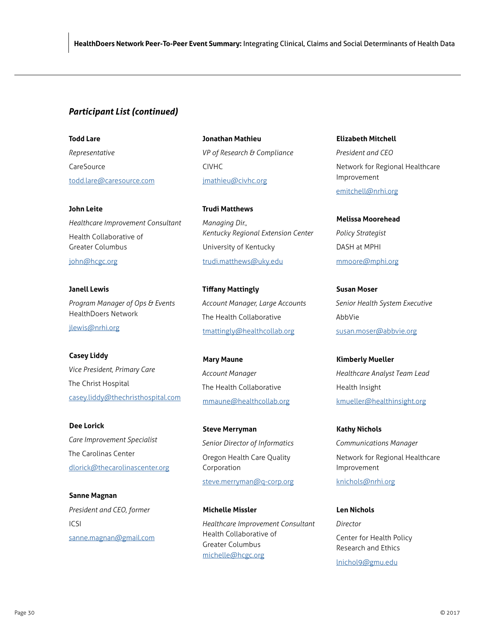**Todd Lare** *Representative* **CareSource** [todd.lare@caresource.com](mailto:todd.lare@caresource.com)

**John Leite** *Healthcare Improvement Consultant* Health Collaborative of Greater Columbus [john@hcgc.org](mailto:john@hcgc.org)

**Janell Lewis** *Program Manager of Ops & Events* HealthDoers Network [jlewis@nrhi.org](mailto:jlewis@nrhi.org)

**Casey Liddy** *Vice President, Primary Care* The Christ Hospital [casey.liddy@thechristhospital.com](mailto:casey.liddy@thechristhospital.com)

**Dee Lorick** *Care Improvement Specialist* The Carolinas Center [dlorick@thecarolinascenter.org](mailto:dlorick@thecarolinascenter.org)

**Sanne Magnan** *President and CEO, former* ICSI [sanne.magnan@gmail.com](mailto:sanne.magnan@gmail.com) **Jonathan Mathieu** *VP of Research & Compliance* CIVHC [jmathieu@civhc.org](mailto:jmathieu@civhc.org)

**Trudi Matthews** *Managing Dir., Kentucky Regional Extension Center* University of Kentucky [trudi.matthews@uky.edu](mailto:trudi.matthews@uky.edu)

**Tiffany Mattingly** *Account Manager, Large Accounts* The Health Collaborative [tmattingly@healthcollab.org](mailto:tmattingly@healthcollab.org)

**Mary Maune** *Account Manager* The Health Collaborative [mmaune@healthcollab.org](mailto:mmaune@healthcollab.org)

**Steve Merryman** *Senior Director of Informatics* Oregon Health Care Quality Corporation

[steve.merryman@q-corp.org](mailto:steve.merryman@q-corp.org)

**Michelle Missler** *Healthcare Improvement Consultant* Health Collaborative of Greater Columbus [michelle@hcgc.org](mailto:michelle@hcgc.org)

**Elizabeth Mitchell**

*President and CEO* Network for Regional Healthcare Improvement [emitchell@nrhi.org](mailto:emitchell@nrhi.org)

**Melissa Moorehead** *Policy Strategist* DASH at MPHI [mmoore@mphi.org](mailto:mmoore@mphi.org)

**Susan Moser** *Senior Health System Executive* AbbVie [susan.moser@abbvie.org](mailto:susan.moser@abbvie.org)

**Kimberly Mueller** *Healthcare Analyst Team Lead* Health Insight [kmueller@healthinsight.org](mailto:kmueller@healthinsight.org)

**Kathy Nichols** *Communications Manager* Network for Regional Healthcare Improvement

[knichols@nrhi.org](mailto:knichols@nrhi.org)

**Len Nichols** *Director* Center for Health Policy Research and Ethics [lnichol9@gmu.edu](mailto:lnichol9@gmu.edu)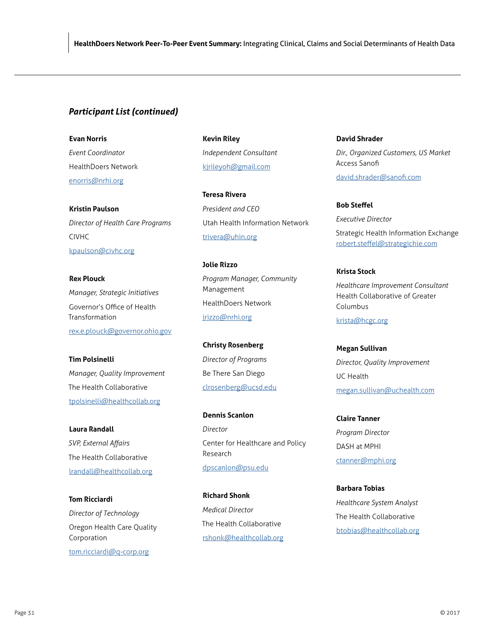# **Evan Norris**

*Event Coordinator* HealthDoers Network [enorris@nrhi.org](mailto:enorris@nrhi.org)

**Kristin Paulson** *Director of Health Care Programs* CIVHC [kpaulson@civhc.org](mailto:kpaulson@civhc.org)

**Rex Plouck** *Manager, Strategic Initiatives* Governor's Office of Health Transformation [rex.e.plouck@governor.ohio.gov](mailto:rex.e.plouck@governor.ohio.gov)

**Tim Polsinelli** *Manager, Quality Improvement* The Health Collaborative [tpolsinelli@healthcollab.org](mailto:tpolsinelli@healthcollab.org)

**Laura Randall** *SVP, External Affairs* The Health Collaborative [lrandall@healthcollab.org](mailto:lrandall@healthcollab.org)

**Tom Ricciardi** *Director of Technology* Oregon Health Care Quality Corporation [tom.ricciardi@q-corp.org](mailto:tom.ricciardi@q-corp.org)

**Kevin Riley** *Independent Consultant* [kjrileyoh@gmail.com](mailto:kjrileyoh@gmail.com)

**Teresa Rivera** *President and CEO* Utah Health Information Network [trivera@uhin.org](mailto:trivera@uhin.org)

**Jolie Rizzo** *Program Manager, Community* Management HealthDoers Network [jrizzo@nrhi.org](mailto:jrizzo@nrhi.org)

**Christy Rosenberg** *Director of Programs* Be There San Diego [clrosenberg@ucsd.edu](mailto:clrosenberg@ucsd.edu)

**Dennis Scanlon** *Director* Center for Healthcare and Policy Research [dpscanlon@psu.edu](mailto:dpscanlon@psu.edu)

**Richard Shonk** *Medical Director* The Health Collaborative [rshonk@healthcollab.org](mailto:rshonk@healthcollab.org)

**David Shrader** *Dir., Organized Customers, US Market* Access Sanofi [david.shrader@sanofi.com](mailto:david.shrader@sanofi.com)

**Bob Steffel** *Executive Director* Strategic Health Information Exchange [robert.steffel@strategichie.com](mailto:robert.steffel@strategichie.com)

**Krista Stock** *Healthcare Improvement Consultant* Health Collaborative of Greater Columbus

[krista@hcgc.org](mailto:krista@hcgc.org)

**Megan Sullivan** *Director, Quality Improvement* UC Health [megan.sullivan@uchealth.com](mailto:megan.sullivan@uchealth.com)

**Claire Tanner** *Program Director* DASH at MPHI [ctanner@mphi.org](mailto:ctanner@mphi.org)

**Barbara Tobias** *Healthcare System Analyst* The Health Collaborative [btobias@healthcollab.org](mailto:btobias@healthcollab.org)